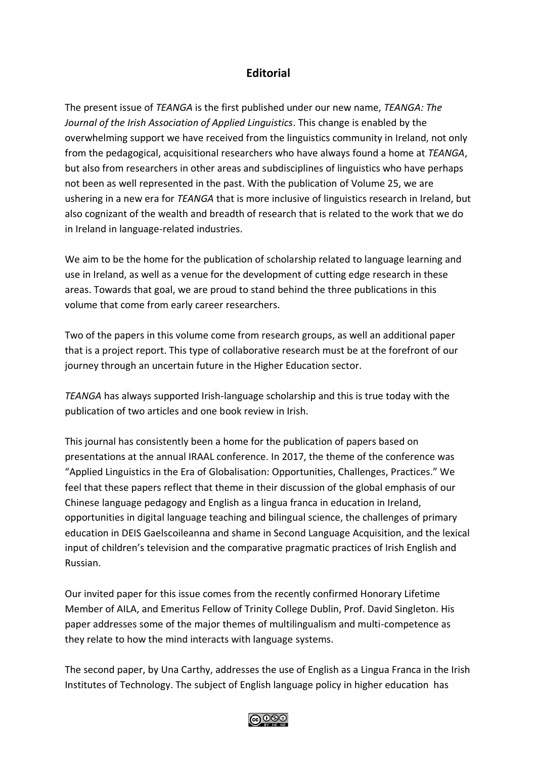## **Editorial**

The present issue of *TEANGA* is the first published under our new name, *TEANGA: The Journal of the Irish Association of Applied Linguistics*. This change is enabled by the overwhelming support we have received from the linguistics community in Ireland, not only from the pedagogical, acquisitional researchers who have always found a home at *TEANGA*, but also from researchers in other areas and subdisciplines of linguistics who have perhaps not been as well represented in the past. With the publication of Volume 25, we are ushering in a new era for *TEANGA* that is more inclusive of linguistics research in Ireland, but also cognizant of the wealth and breadth of research that is related to the work that we do in Ireland in language-related industries.

We aim to be the home for the publication of scholarship related to language learning and use in Ireland, as well as a venue for the development of cutting edge research in these areas. Towards that goal, we are proud to stand behind the three publications in this volume that come from early career researchers.

Two of the papers in this volume come from research groups, as well an additional paper that is a project report. This type of collaborative research must be at the forefront of our journey through an uncertain future in the Higher Education sector.

*TEANGA* has always supported Irish-language scholarship and this is true today with the publication of two articles and one book review in Irish.

This journal has consistently been a home for the publication of papers based on presentations at the annual IRAAL conference. In 2017, the theme of the conference was "Applied Linguistics in the Era of Globalisation: Opportunities, Challenges, Practices." We feel that these papers reflect that theme in their discussion of the global emphasis of our Chinese language pedagogy and English as a lingua franca in education in Ireland, opportunities in digital language teaching and bilingual science, the challenges of primary education in DEIS Gaelscoileanna and shame in Second Language Acquisition, and the lexical input of children's television and the comparative pragmatic practices of Irish English and Russian.

Our invited paper for this issue comes from the recently confirmed Honorary Lifetime Member of AILA, and Emeritus Fellow of Trinity College Dublin, Prof. David Singleton. His paper addresses some of the major themes of multilingualism and multi-competence as they relate to how the mind interacts with language systems.

The second paper, by Una Carthy, addresses the use of English as a Lingua Franca in the Irish Institutes of Technology. The subject of English language policy in higher education has

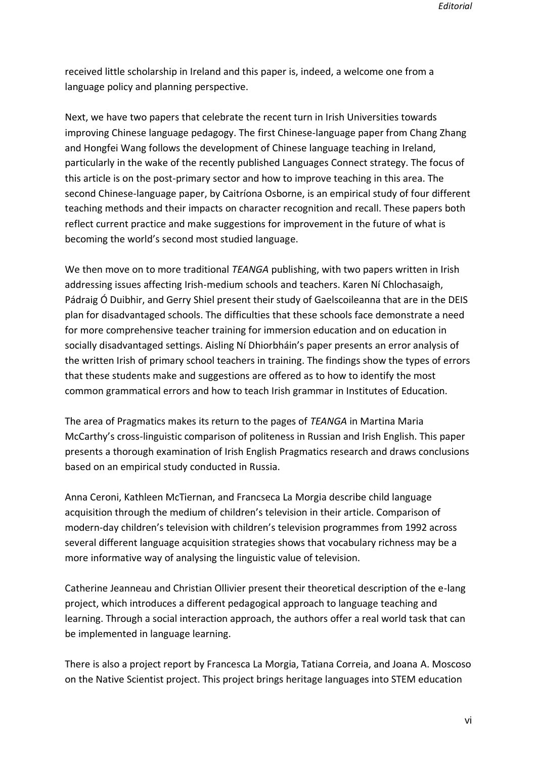received little scholarship in Ireland and this paper is, indeed, a welcome one from a language policy and planning perspective.

Next, we have two papers that celebrate the recent turn in Irish Universities towards improving Chinese language pedagogy. The first Chinese-language paper from Chang Zhang and Hongfei Wang follows the development of Chinese language teaching in Ireland, particularly in the wake of the recently published Languages Connect strategy. The focus of this article is on the post-primary sector and how to improve teaching in this area. The second Chinese-language paper, by Caitríona Osborne, is an empirical study of four different teaching methods and their impacts on character recognition and recall. These papers both reflect current practice and make suggestions for improvement in the future of what is becoming the world's second most studied language.

We then move on to more traditional *TEANGA* publishing, with two papers written in Irish addressing issues affecting Irish-medium schools and teachers. Karen Ní Chlochasaigh, Pádraig Ó Duibhir, and Gerry Shiel present their study of Gaelscoileanna that are in the DEIS plan for disadvantaged schools. The difficulties that these schools face demonstrate a need for more comprehensive teacher training for immersion education and on education in socially disadvantaged settings. Aisling Ní Dhiorbháin's paper presents an error analysis of the written Irish of primary school teachers in training. The findings show the types of errors that these students make and suggestions are offered as to how to identify the most common grammatical errors and how to teach Irish grammar in Institutes of Education.

The area of Pragmatics makes its return to the pages of *TEANGA* in Martina Maria McCarthy's cross-linguistic comparison of politeness in Russian and Irish English. This paper presents a thorough examination of Irish English Pragmatics research and draws conclusions based on an empirical study conducted in Russia.

Anna Ceroni, Kathleen McTiernan, and Francseca La Morgia describe child language acquisition through the medium of children's television in their article. Comparison of modern-day children's television with children's television programmes from 1992 across several different language acquisition strategies shows that vocabulary richness may be a more informative way of analysing the linguistic value of television.

Catherine Jeanneau and Christian Ollivier present their theoretical description of the e-lang project, which introduces a different pedagogical approach to language teaching and learning. Through a social interaction approach, the authors offer a real world task that can be implemented in language learning.

There is also a project report by Francesca La Morgia, Tatiana Correia, and Joana A. Moscoso on the Native Scientist project. This project brings heritage languages into STEM education